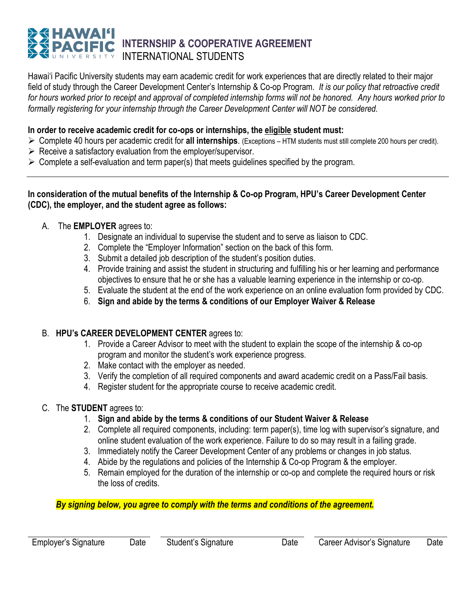# **INTERNSHIP & COOPERATIVE AGREEMENT** INTERNATIONAL STUDENTS

Hawai'i Pacific University students may earn academic credit for work experiences that are directly related to their major field of study through the Career Development Center's Internship & Co-op Program. *It is our policy that retroactive credit for hours worked prior to receipt and approval of completed internship forms will not be honored. Any hours worked prior to formally registering for your internship through the Career Development Center will NOT be considered.*

#### **In order to receive academic credit for co-ops or internships, the eligible student must:**

- ➢ Complete 40 hours per academic credit for **all internships**. (Exceptions HTM students must still complete 200 hours per credit).
- $\triangleright$  Receive a satisfactory evaluation from the employer/supervisor.
- $\triangleright$  Complete a self-evaluation and term paper(s) that meets guidelines specified by the program.

#### **In consideration of the mutual benefits of the Internship & Co-op Program, HPU's Career Development Center (CDC), the employer, and the student agree as follows:**

- A. The **EMPLOYER** agrees to:
	- 1. Designate an individual to supervise the student and to serve as liaison to CDC.
	- 2. Complete the "Employer Information" section on the back of this form.
	- 3. Submit a detailed job description of the student's position duties.
	- 4. Provide training and assist the student in structuring and fulfilling his or her learning and performance objectives to ensure that he or she has a valuable learning experience in the internship or co-op.
	- 5. Evaluate the student at the end of the work experience on an online evaluation form provided by CDC.
	- 6. **Sign and abide by the terms & conditions of our Employer Waiver & Release**

#### B. **HPU's CAREER DEVELOPMENT CENTER** agrees to:

- 1. Provide a Career Advisor to meet with the student to explain the scope of the internship & co-op program and monitor the student's work experience progress.
- 2. Make contact with the employer as needed.
- 3. Verify the completion of all required components and award academic credit on a Pass/Fail basis.
- 4. Register student for the appropriate course to receive academic credit.

#### C. The **STUDENT** agrees to:

- 1. **Sign and abide by the terms & conditions of our Student Waiver & Release**
- 2. Complete all required components, including: term paper(s), time log with supervisor's signature, and online student evaluation of the work experience. Failure to do so may result in a failing grade.
- 3. Immediately notify the Career Development Center of any problems or changes in job status.
- 4. Abide by the regulations and policies of the Internship & Co-op Program & the employer.
- 5. Remain employed for the duration of the internship or co-op and complete the required hours or risk the loss of credits.

*By signing below, you agree to comply with the terms and conditions of the agreement.*